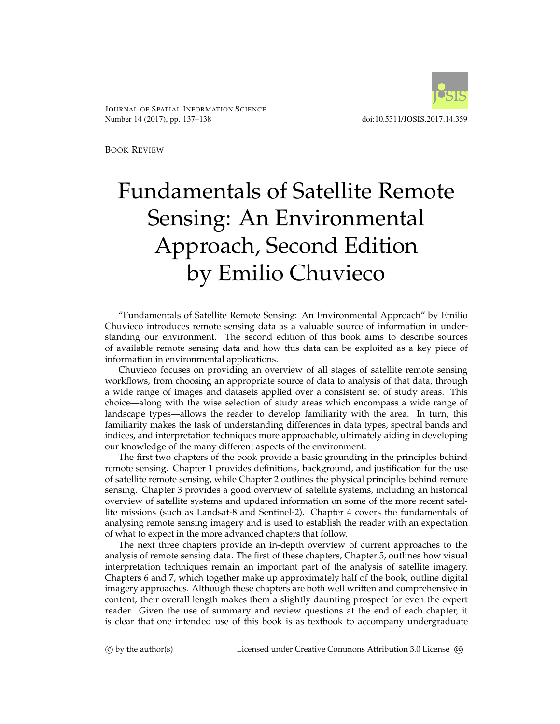

JOURNAL OF SPATIAL INFORMATION SCIENCE Number 14 (2017), pp. 137–138 doi:10.5311/JOSIS.2017.14.359

BOOK REVIEW

## Fundamentals of Satellite Remote Sensing: An Environmental Approach, Second Edition by Emilio Chuvieco

"Fundamentals of Satellite Remote Sensing: An Environmental Approach" by Emilio Chuvieco introduces remote sensing data as a valuable source of information in understanding our environment. The second edition of this book aims to describe sources of available remote sensing data and how this data can be exploited as a key piece of information in environmental applications.

Chuvieco focuses on providing an overview of all stages of satellite remote sensing workflows, from choosing an appropriate source of data to analysis of that data, through a wide range of images and datasets applied over a consistent set of study areas. This choice—along with the wise selection of study areas which encompass a wide range of landscape types—allows the reader to develop familiarity with the area. In turn, this familiarity makes the task of understanding differences in data types, spectral bands and indices, and interpretation techniques more approachable, ultimately aiding in developing our knowledge of the many different aspects of the environment.

The first two chapters of the book provide a basic grounding in the principles behind remote sensing. Chapter 1 provides definitions, background, and justification for the use of satellite remote sensing, while Chapter 2 outlines the physical principles behind remote sensing. Chapter 3 provides a good overview of satellite systems, including an historical overview of satellite systems and updated information on some of the more recent satellite missions (such as Landsat-8 and Sentinel-2). Chapter 4 covers the fundamentals of analysing remote sensing imagery and is used to establish the reader with an expectation of what to expect in the more advanced chapters that follow.

The next three chapters provide an in-depth overview of current approaches to the analysis of remote sensing data. The first of these chapters, Chapter 5, outlines how visual interpretation techniques remain an important part of the analysis of satellite imagery. Chapters 6 and 7, which together make up approximately half of the book, outline digital imagery approaches. Although these chapters are both well written and comprehensive in content, their overall length makes them a slightly daunting prospect for even the expert reader. Given the use of summary and review questions at the end of each chapter, it is clear that one intended use of this book is as textbook to accompany undergraduate